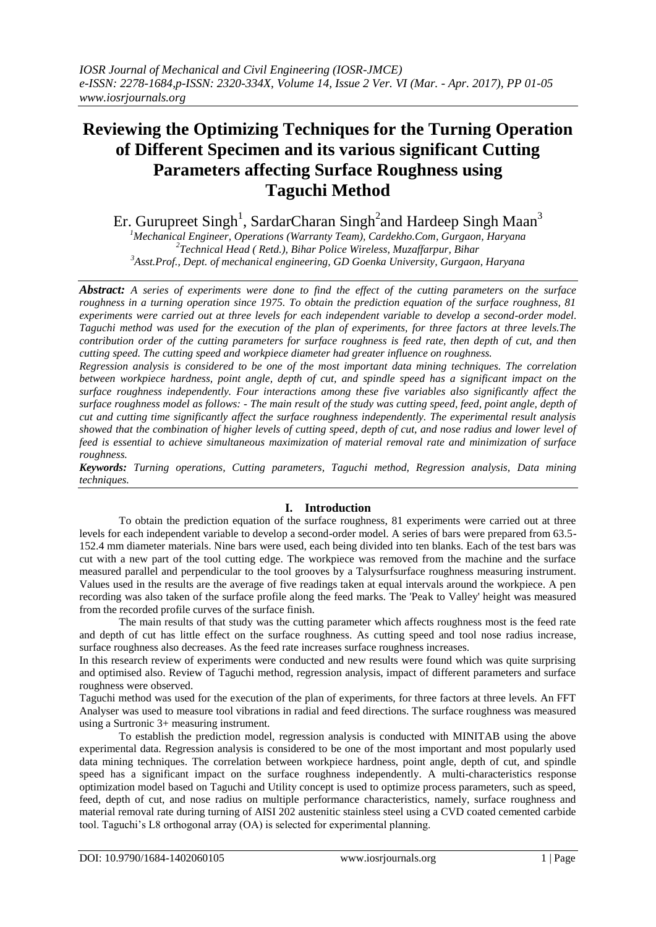# **Reviewing the Optimizing Techniques for the Turning Operation of Different Specimen and its various significant Cutting Parameters affecting Surface Roughness using Taguchi Method**

Er. Gurupreet Singh<sup>1</sup>, SardarCharan Singh<sup>2</sup>and Hardeep Singh Maan<sup>3</sup>

*<sup>1</sup>Mechanical Engineer, Operations (Warranty Team), Cardekho.Com, Gurgaon, Haryana 2 Technical Head ( Retd.), Bihar Police Wireless, Muzaffarpur, Bihar <sup>3</sup>Asst.Prof., Dept. of mechanical engineering, GD Goenka University, Gurgaon, Haryana*

*Abstract: A series of experiments were done to find the effect of the cutting parameters on the surface roughness in a turning operation since 1975. To obtain the prediction equation of the surface roughness, 81 experiments were carried out at three levels for each independent variable to develop a second-order model. Taguchi method was used for the execution of the plan of experiments, for three factors at three levels.The contribution order of the cutting parameters for surface roughness is feed rate, then depth of cut, and then cutting speed. The cutting speed and workpiece diameter had greater influence on roughness.* 

*Regression analysis is considered to be one of the most important data mining techniques. The correlation between workpiece hardness, point angle, depth of cut, and spindle speed has a significant impact on the surface roughness independently. Four interactions among these five variables also significantly affect the surface roughness model as follows: - The main result of the study was cutting speed, feed, point angle, depth of cut and cutting time significantly affect the surface roughness independently. The experimental result analysis showed that the combination of higher levels of cutting speed, depth of cut, and nose radius and lower level of feed is essential to achieve simultaneous maximization of material removal rate and minimization of surface roughness.*

*Keywords: Turning operations, Cutting parameters, Taguchi method, Regression analysis, Data mining techniques.*

## **I. Introduction**

To obtain the prediction equation of the surface roughness, 81 experiments were carried out at three levels for each independent variable to develop a second-order model. A series of bars were prepared from 63.5- 152.4 mm diameter materials. Nine bars were used, each being divided into ten blanks. Each of the test bars was cut with a new part of the tool cutting edge. The workpiece was removed from the machine and the surface measured parallel and perpendicular to the tool grooves by a Talysurfsurface roughness measuring instrument. Values used in the results are the average of five readings taken at equal intervals around the workpiece. A pen recording was also taken of the surface profile along the feed marks. The 'Peak to Valley' height was measured from the recorded profile curves of the surface finish.

The main results of that study was the cutting parameter which affects roughness most is the feed rate and depth of cut has little effect on the surface roughness. As cutting speed and tool nose radius increase, surface roughness also decreases. As the feed rate increases surface roughness increases.

In this research review of experiments were conducted and new results were found which was quite surprising and optimised also. Review of Taguchi method, regression analysis, impact of different parameters and surface roughness were observed.

Taguchi method was used for the execution of the plan of experiments, for three factors at three levels. An FFT Analyser was used to measure tool vibrations in radial and feed directions. The surface roughness was measured using a Surtronic 3+ measuring instrument.

To establish the prediction model, regression analysis is conducted with MINITAB using the above experimental data. Regression analysis is considered to be one of the most important and most popularly used data mining techniques. The correlation between workpiece hardness, point angle, depth of cut, and spindle speed has a significant impact on the surface roughness independently. A multi-characteristics response optimization model based on Taguchi and Utility concept is used to optimize process parameters, such as speed, feed, depth of cut, and nose radius on multiple performance characteristics, namely, surface roughness and material removal rate during turning of AISI 202 austenitic stainless steel using a CVD coated cemented carbide tool. Taguchi's L8 orthogonal array (OA) is selected for experimental planning.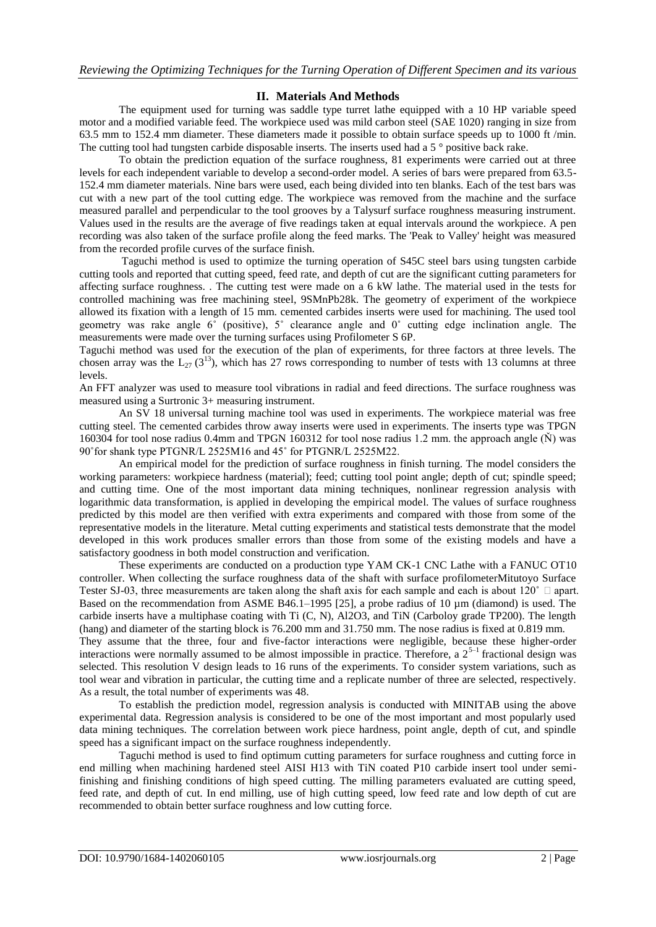### **II. Materials And Methods**

The equipment used for turning was saddle type turret lathe equipped with a 10 HP variable speed motor and a modified variable feed. The workpiece used was mild carbon steel (SAE 1020) ranging in size from 63.5 mm to 152.4 mm diameter. These diameters made it possible to obtain surface speeds up to 1000 ft /min. The cutting tool had tungsten carbide disposable inserts. The inserts used had a 5 ° positive back rake.

To obtain the prediction equation of the surface roughness, 81 experiments were carried out at three levels for each independent variable to develop a second-order model. A series of bars were prepared from 63.5- 152.4 mm diameter materials. Nine bars were used, each being divided into ten blanks. Each of the test bars was cut with a new part of the tool cutting edge. The workpiece was removed from the machine and the surface measured parallel and perpendicular to the tool grooves by a Talysurf surface roughness measuring instrument. Values used in the results are the average of five readings taken at equal intervals around the workpiece. A pen recording was also taken of the surface profile along the feed marks. The 'Peak to Valley' height was measured from the recorded profile curves of the surface finish.

Taguchi method is used to optimize the turning operation of S45C steel bars using tungsten carbide cutting tools and reported that cutting speed, feed rate, and depth of cut are the significant cutting parameters for affecting surface roughness. . The cutting test were made on a 6 kW lathe. The material used in the tests for controlled machining was free machining steel, 9SMnPb28k. The geometry of experiment of the workpiece allowed its fixation with a length of 15 mm. cemented carbides inserts were used for machining. The used tool geometry was rake angle 6˚ (positive), 5˚ clearance angle and 0˚ cutting edge inclination angle. The measurements were made over the turning surfaces using Profilometer S 6P.

Taguchi method was used for the execution of the plan of experiments, for three factors at three levels. The chosen array was the  $L_{27}$  (3<sup>13</sup>), which has 27 rows corresponding to number of tests with 13 columns at three levels.

An FFT analyzer was used to measure tool vibrations in radial and feed directions. The surface roughness was measured using a Surtronic 3+ measuring instrument.

An SV 18 universal turning machine tool was used in experiments. The workpiece material was free cutting steel. The cemented carbides throw away inserts were used in experiments. The inserts type was TPGN 160304 for tool nose radius 0.4mm and TPGN 160312 for tool nose radius 1.2 mm. the approach angle (Ň) was 90˚for shank type PTGNR/L 2525M16 and 45˚ for PTGNR/L 2525M22.

An empirical model for the prediction of surface roughness in finish turning. The model considers the working parameters: workpiece hardness (material); feed; cutting tool point angle; depth of cut; spindle speed; and cutting time. One of the most important data mining techniques, nonlinear regression analysis with logarithmic data transformation, is applied in developing the empirical model. The values of surface roughness predicted by this model are then verified with extra experiments and compared with those from some of the representative models in the literature. Metal cutting experiments and statistical tests demonstrate that the model developed in this work produces smaller errors than those from some of the existing models and have a satisfactory goodness in both model construction and verification.

These experiments are conducted on a production type YAM CK-1 CNC Lathe with a FANUC OT10 controller. When collecting the surface roughness data of the shaft with surface profilometerMitutoyo Surface Tester SJ-03, three measurements are taken along the shaft axis for each sample and each is about 120 $^{\circ}$   $\Box$  apart. Based on the recommendation from ASME B46.1–1995 [25], a probe radius of 10  $\mu$ m (diamond) is used. The carbide inserts have a multiphase coating with Ti (C, N), Al2O3, and TiN (Carboloy grade TP200). The length (hang) and diameter of the starting block is 76.200 mm and 31.750 mm. The nose radius is fixed at 0.819 mm. They assume that the three, four and five-factor interactions were negligible, because these higher-order interactions were normally assumed to be almost impossible in practice. Therefore, a  $2^{5-1}$  fractional design was selected. This resolution V design leads to 16 runs of the experiments. To consider system variations, such as tool wear and vibration in particular, the cutting time and a replicate number of three are selected, respectively. As a result, the total number of experiments was 48.

To establish the prediction model, regression analysis is conducted with MINITAB using the above experimental data. Regression analysis is considered to be one of the most important and most popularly used data mining techniques. The correlation between work piece hardness, point angle, depth of cut, and spindle speed has a significant impact on the surface roughness independently.

Taguchi method is used to find optimum cutting parameters for surface roughness and cutting force in end milling when machining hardened steel AISI H13 with TiN coated P10 carbide insert tool under semifinishing and finishing conditions of high speed cutting. The milling parameters evaluated are cutting speed, feed rate, and depth of cut. In end milling, use of high cutting speed, low feed rate and low depth of cut are recommended to obtain better surface roughness and low cutting force.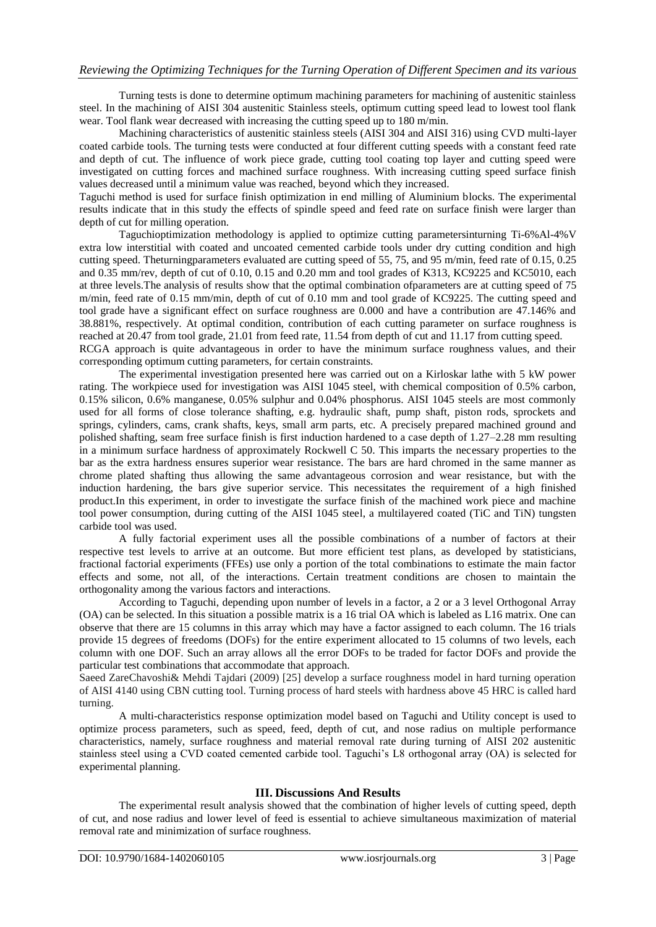Turning tests is done to determine optimum machining parameters for machining of austenitic stainless steel. In the machining of AISI 304 austenitic Stainless steels, optimum cutting speed lead to lowest tool flank wear. Tool flank wear decreased with increasing the cutting speed up to 180 m/min.

Machining characteristics of austenitic stainless steels (AISI 304 and AISI 316) using CVD multi-layer coated carbide tools. The turning tests were conducted at four different cutting speeds with a constant feed rate and depth of cut. The influence of work piece grade, cutting tool coating top layer and cutting speed were investigated on cutting forces and machined surface roughness. With increasing cutting speed surface finish values decreased until a minimum value was reached, beyond which they increased.

Taguchi method is used for surface finish optimization in end milling of Aluminium blocks. The experimental results indicate that in this study the effects of spindle speed and feed rate on surface finish were larger than depth of cut for milling operation.

Taguchioptimization methodology is applied to optimize cutting parametersinturning Ti-6%Al-4%V extra low interstitial with coated and uncoated cemented carbide tools under dry cutting condition and high cutting speed. Theturningparameters evaluated are cutting speed of 55, 75, and 95 m/min, feed rate of 0.15, 0.25 and 0.35 mm/rev, depth of cut of 0.10, 0.15 and 0.20 mm and tool grades of K313, KC9225 and KC5010, each at three levels.The analysis of results show that the optimal combination ofparameters are at cutting speed of 75 m/min, feed rate of 0.15 mm/min, depth of cut of 0.10 mm and tool grade of KC9225. The cutting speed and tool grade have a significant effect on surface roughness are 0.000 and have a contribution are 47.146% and 38.881%, respectively. At optimal condition, contribution of each cutting parameter on surface roughness is reached at 20.47 from tool grade, 21.01 from feed rate, 11.54 from depth of cut and 11.17 from cutting speed. RCGA approach is quite advantageous in order to have the minimum surface roughness values, and their corresponding optimum cutting parameters, for certain constraints.

The experimental investigation presented here was carried out on a Kirloskar lathe with 5 kW power rating. The workpiece used for investigation was AISI 1045 steel, with chemical composition of 0.5% carbon, 0.15% silicon, 0.6% manganese, 0.05% sulphur and 0.04% phosphorus. AISI 1045 steels are most commonly used for all forms of close tolerance shafting, e.g. hydraulic shaft, pump shaft, piston rods, sprockets and springs, cylinders, cams, crank shafts, keys, small arm parts, etc. A precisely prepared machined ground and polished shafting, seam free surface finish is first induction hardened to a case depth of 1.27–2.28 mm resulting in a minimum surface hardness of approximately Rockwell C 50. This imparts the necessary properties to the bar as the extra hardness ensures superior wear resistance. The bars are hard chromed in the same manner as chrome plated shafting thus allowing the same advantageous corrosion and wear resistance, but with the induction hardening, the bars give superior service. This necessitates the requirement of a high finished product.In this experiment, in order to investigate the surface finish of the machined work piece and machine tool power consumption, during cutting of the AISI 1045 steel, a multilayered coated (TiC and TiN) tungsten carbide tool was used.

A fully factorial experiment uses all the possible combinations of a number of factors at their respective test levels to arrive at an outcome. But more efficient test plans, as developed by statisticians, fractional factorial experiments (FFEs) use only a portion of the total combinations to estimate the main factor effects and some, not all, of the interactions. Certain treatment conditions are chosen to maintain the orthogonality among the various factors and interactions.

According to Taguchi, depending upon number of levels in a factor, a 2 or a 3 level Orthogonal Array (OA) can be selected. In this situation a possible matrix is a 16 trial OA which is labeled as L16 matrix. One can observe that there are 15 columns in this array which may have a factor assigned to each column. The 16 trials provide 15 degrees of freedoms (DOFs) for the entire experiment allocated to 15 columns of two levels, each column with one DOF. Such an array allows all the error DOFs to be traded for factor DOFs and provide the particular test combinations that accommodate that approach.

Saeed ZareChavoshi& Mehdi Tajdari (2009) [25] develop a surface roughness model in hard turning operation of AISI 4140 using CBN cutting tool. Turning process of hard steels with hardness above 45 HRC is called hard turning.

A multi-characteristics response optimization model based on Taguchi and Utility concept is used to optimize process parameters, such as speed, feed, depth of cut, and nose radius on multiple performance characteristics, namely, surface roughness and material removal rate during turning of AISI 202 austenitic stainless steel using a CVD coated cemented carbide tool. Taguchi's L8 orthogonal array (OA) is selected for experimental planning.

## **III. Discussions And Results**

The experimental result analysis showed that the combination of higher levels of cutting speed, depth of cut, and nose radius and lower level of feed is essential to achieve simultaneous maximization of material removal rate and minimization of surface roughness.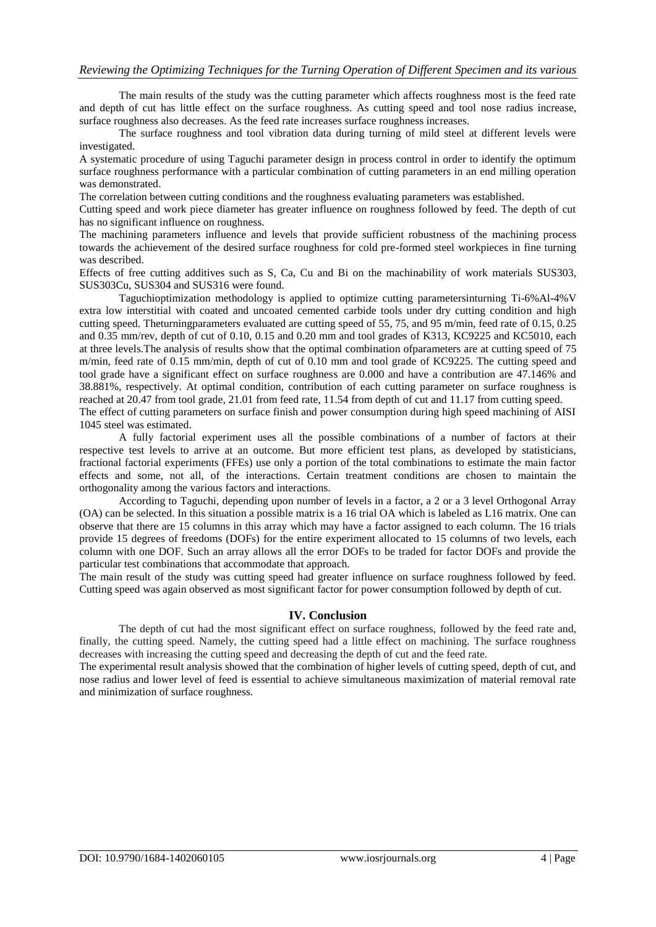## *Reviewing the Optimizing Techniques for the Turning Operation of Different Specimen and its various*

The main results of the study was the cutting parameter which affects roughness most is the feed rate and depth of cut has little effect on the surface roughness. As cutting speed and tool nose radius increase, surface roughness also decreases. As the feed rate increases surface roughness increases.

The surface roughness and tool vibration data during turning of mild steel at different levels were investigated.

A systematic procedure of using Taguchi parameter design in process control in order to identify the optimum surface roughness performance with a particular combination of cutting parameters in an end milling operation was demonstrated.

The correlation between cutting conditions and the roughness evaluating parameters was established.

Cutting speed and work piece diameter has greater influence on roughness followed by feed. The depth of cut has no significant influence on roughness.

The machining parameters influence and levels that provide sufficient robustness of the machining process towards the achievement of the desired surface roughness for cold pre-formed steel workpieces in fine turning was described.

Effects of free cutting additives such as S, Ca, Cu and Bi on the machinability of work materials SUS303, SUS303Cu, SUS304 and SUS316 were found.

Taguchioptimization methodology is applied to optimize cutting parametersinturning Ti-6%Al-4%V extra low interstitial with coated and uncoated cemented carbide tools under dry cutting condition and high cutting speed. Theturningparameters evaluated are cutting speed of 55, 75, and 95 m/min, feed rate of 0.15, 0.25 and 0.35 mm/rev, depth of cut of 0.10, 0.15 and 0.20 mm and tool grades of K313, KC9225 and KC5010, each at three levels.The analysis of results show that the optimal combination ofparameters are at cutting speed of 75 m/min, feed rate of 0.15 mm/min, depth of cut of 0.10 mm and tool grade of KC9225. The cutting speed and tool grade have a significant effect on surface roughness are 0.000 and have a contribution are 47.146% and 38.881%, respectively. At optimal condition, contribution of each cutting parameter on surface roughness is reached at 20.47 from tool grade, 21.01 from feed rate, 11.54 from depth of cut and 11.17 from cutting speed. The effect of cutting parameters on surface finish and power consumption during high speed machining of AISI 1045 steel was estimated.

A fully factorial experiment uses all the possible combinations of a number of factors at their respective test levels to arrive at an outcome. But more efficient test plans, as developed by statisticians, fractional factorial experiments (FFEs) use only a portion of the total combinations to estimate the main factor effects and some, not all, of the interactions. Certain treatment conditions are chosen to maintain the orthogonality among the various factors and interactions.

According to Taguchi, depending upon number of levels in a factor, a 2 or a 3 level Orthogonal Array (OA) can be selected. In this situation a possible matrix is a 16 trial OA which is labeled as L16 matrix. One can observe that there are 15 columns in this array which may have a factor assigned to each column. The 16 trials provide 15 degrees of freedoms (DOFs) for the entire experiment allocated to 15 columns of two levels, each column with one DOF. Such an array allows all the error DOFs to be traded for factor DOFs and provide the particular test combinations that accommodate that approach.

The main result of the study was cutting speed had greater influence on surface roughness followed by feed. Cutting speed was again observed as most significant factor for power consumption followed by depth of cut.

#### **IV. Conclusion**

The depth of cut had the most significant effect on surface roughness, followed by the feed rate and, finally, the cutting speed. Namely, the cutting speed had a little effect on machining. The surface roughness decreases with increasing the cutting speed and decreasing the depth of cut and the feed rate.

The experimental result analysis showed that the combination of higher levels of cutting speed, depth of cut, and nose radius and lower level of feed is essential to achieve simultaneous maximization of material removal rate and minimization of surface roughness.